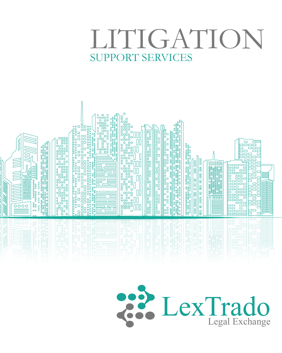## LITIGATION SUPPORT SERVICES



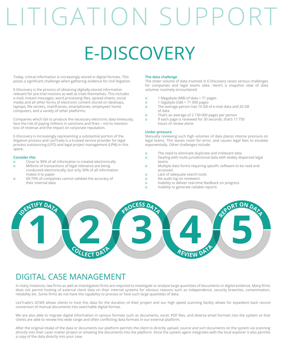# LITIGATION SUPPORT

# E-DISCOVERY

Today, critical information is increasingly stored in digital formats. This poses a significant challenge when gathering evidence for civil litigation.

E-Discovery is the process of obtaining digitally-stored information relevant for pre-trial motions as well as trials themselves. This includes e-mail, instant messages, word processing files, spread sheets, social media and all other forms of electronic content stored on desktops, laptops, file servers, mainframes, smartphones, employees' home computers, and a variety of other platforms.

Companies which fail to produce the necessary electronic data timeously, face the risk of paying millions in sanctions and fines – not to mention loss of revenue and the impact on corporate reputation.

E-Discovery is increasingly representing a substantial portion of the litigation process and LexTrado is a trusted service provider for legal process outsourcing (LPO) and legal project management (LPM) in this space.

#### **Consider this**

- o Close to 90% of all information is created electronically
- o Millions of transactions of legal relevance are being conducted electronically, but only 30% of all information makes it to paper
- o 60-70% of companies cannot validate the accuracy of their internal data

#### **The data challenge**

The sheer volume of data involved in E-Discovery raises serious challenges for companies and legal teams alike. Here's a snapshot view of data volumes routinely encountered:

- o 1 Megabyte (MB) of data = 71 pages
- $\frac{1}{2}$  1 Gigabyte (GB) = 71 000 pages
- o The average person has 10 GB of e-mail data and 20 GB of data
- o That's an average of 2 130 000 pages per person
- o If each page is reviewed for 30 seconds, that's 17 750 hours of review alone

#### **Under pressure**

Manually reviewing such high volumes of data places intense pressure on legal teams. This leaves room for error, and causes legal fees to escalate exponentially. Other challenges include:

- o The need to eliminate duplicate and irrelevant data
- o Dealing with multi-jurisdictional data with widely dispersed legal teams
- o Multiple data forms requiring specific software to be read and accessed
- o Lack of adequate search tools
- o No audit log on reviewers
- o Inability to deliver real-time feedback on progress
- o Inability to generate reliable reports



#### DIGITAL CASE MANAGEMENT

In many instances, law firms as well as investigation firms are required to investigate or analyse large quantities of documents or digital evidence. Many firms does not permit hosting of external client data on their internal systems for obvious reasons such as independence, security breeches, contamination, reliability etc. Some firms do not have the capability to process or host such large quantities of data.

LexTrado's DCMS allows clients to host this data for the duration of their project and our high speed scanning facility allows for expedient back record conversion of manual documents into searchable digital format.

We are also able to migrate digital information in various formats such as documents, excel, PDF files, and diverse email formats into the system so that clients are able to review this wide range and often conflicting data formats in our external platform.

After the original intake of the data or documents our platform permits the client to directly upload, source and sort documents on the system via scanning directly into their case/ matter project or emailing the documents into the platform. Since the system agent integrates with the local explorer it also permits a copy of the data directly into your case.